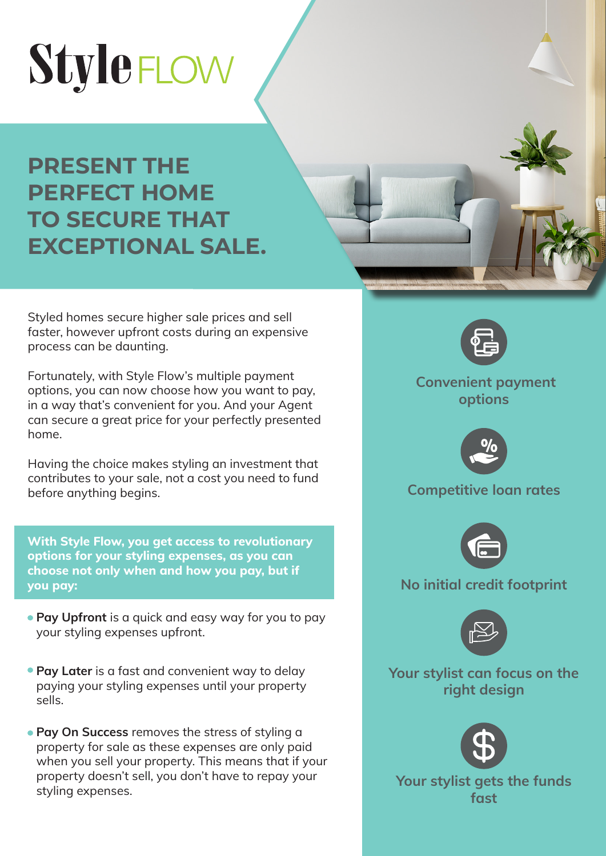# StyleFLOW

## **PRESENT THE PERFECT HOME TO SECURE THAT EXCEPTIONAL SALE.**

Styled homes secure higher sale prices and sell faster, however upfront costs during an expensive process can be daunting.

Fortunately, with Style Flow's multiple payment options, you can now choose how you want to pay, in a way that's convenient for you. And your Agent can secure a great price for your perfectly presented home.

Having the choice makes styling an investment that contributes to your sale, not a cost you need to fund before anything begins.

**With Style Flow, you get access to revolutionary options for your styling expenses, as you can choose not only when and how you pay, but if you pay:**

- **Pay Upfront** is a quick and easy way for you to pay your styling expenses upfront.
- **Pay Later** is a fast and convenient way to delay paying your styling expenses until your property sells.
- **Pay On Success** removes the stress of styling a property for sale as these expenses are only paid when you sell your property. This means that if your property doesn't sell, you don't have to repay your styling expenses.



 **Convenient payment options**



### **Competitive loan rates**



### **No initial credit footprint**



**Your stylist can focus on the right design**